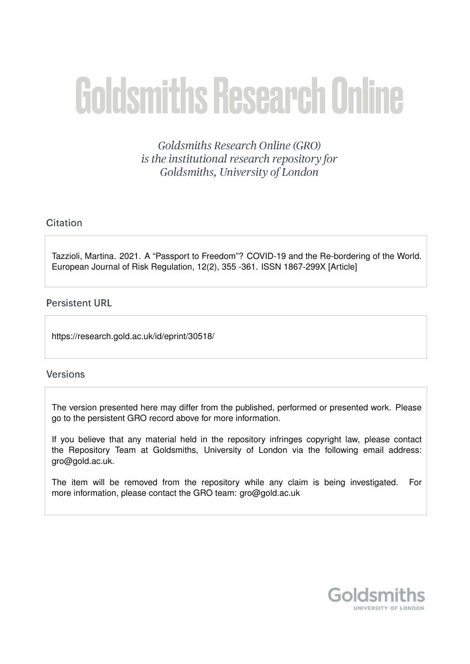# **Goldsmiths Research Online**

Goldsmiths Research Online (GRO) is the institutional research repository for Goldsmiths, University of London

# Citation

Tazzioli, Martina. 2021. A "Passport to Freedom"? COVID-19 and the Re-bordering of the World. European Journal of Risk Regulation, 12(2), 355 -361. ISSN 1867-299X [Article]

## **Persistent URL**

https://research.gold.ac.uk/id/eprint/30518/

## **Versions**

The version presented here may differ from the published, performed or presented work. Please go to the persistent GRO record above for more information.

If you believe that any material held in the repository infringes copyright law, please contact the Repository Team at Goldsmiths, University of London via the following email address: gro@gold.ac.uk.

The item will be removed from the repository while any claim is being investigated. For more information, please contact the GRO team: gro@gold.ac.uk

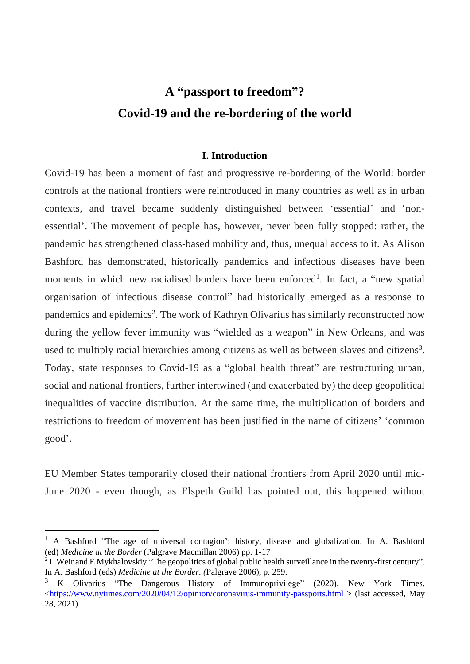# **A "passport to freedom"? Covid-19 and the re-bordering of the world**

### **I. Introduction**

Covid-19 has been a moment of fast and progressive re-bordering of the World: border controls at the national frontiers were reintroduced in many countries as well as in urban contexts, and travel became suddenly distinguished between 'essential' and 'nonessential'. The movement of people has, however, never been fully stopped: rather, the pandemic has strengthened class-based mobility and, thus, unequal access to it. As Alison Bashford has demonstrated, historically pandemics and infectious diseases have been moments in which new racialised borders have been enforced<sup>1</sup>. In fact, a "new spatial organisation of infectious disease control" had historically emerged as a response to pandemics and epidemics<sup>2</sup>. The work of Kathryn Olivarius has similarly reconstructed how during the yellow fever immunity was "wielded as a weapon" in New Orleans, and was used to multiply racial hierarchies among citizens as well as between slaves and citizens<sup>3</sup>. Today, state responses to Covid-19 as a "global health threat" are restructuring urban, social and national frontiers, further intertwined (and exacerbated by) the deep geopolitical inequalities of vaccine distribution. At the same time, the multiplication of borders and restrictions to freedom of movement has been justified in the name of citizens' 'common good'.

EU Member States temporarily closed their national frontiers from April 2020 until mid-June 2020 - even though, as Elspeth Guild has pointed out, this happened without

<sup>&</sup>lt;sup>1</sup> A Bashford "The age of universal contagion': history, disease and globalization. In A. Bashford (ed) *Medicine at the Border* (Palgrave Macmillan 2006) pp. 1-17

<sup>&</sup>lt;sup>2</sup> L Weir and E Mykhalovskiy "The geopolitics of global public health surveillance in the twenty-first century". In A. Bashford (eds) *Medicine at the Border. (*Palgrave 2006), p. 259.

 $3 K$  Olivarius "The Dangerous History of Immunoprivilege" (2020). New York Times. [<https://www.nytimes.com/2020/04/12/opinion/coronavirus-immunity-passports.html](https://www.nytimes.com/2020/04/12/opinion/coronavirus-immunity-passports.html) > (last accessed, May 28, 2021)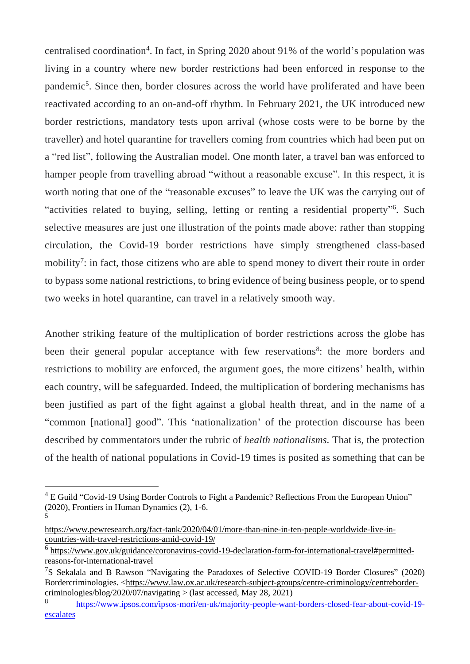centralised coordination<sup>4</sup>. In fact, in Spring 2020 about 91% of the world's population was living in a country where new border restrictions had been enforced in response to the pandemic<sup>5</sup>. Since then, border closures across the world have proliferated and have been reactivated according to an on-and-off rhythm. In February 2021, the UK introduced new border restrictions, mandatory tests upon arrival (whose costs were to be borne by the traveller) and hotel quarantine for travellers coming from countries which had been put on a "red list", following the Australian model. One month later, a travel ban was enforced to hamper people from travelling abroad "without a reasonable excuse". In this respect, it is worth noting that one of the "reasonable excuses" to leave the UK was the carrying out of "activities related to buying, selling, letting or renting a residential property"<sup>6</sup>. Such selective measures are just one illustration of the points made above: rather than stopping circulation, the Covid-19 border restrictions have simply strengthened class-based mobility<sup>7</sup>: in fact, those citizens who are able to spend money to divert their route in order to bypass some national restrictions, to bring evidence of being business people, or to spend two weeks in hotel quarantine, can travel in a relatively smooth way.

Another striking feature of the multiplication of border restrictions across the globe has been their general popular acceptance with few reservations<sup>8</sup>: the more borders and restrictions to mobility are enforced, the argument goes, the more citizens' health, within each country, will be safeguarded. Indeed, the multiplication of bordering mechanisms has been justified as part of the fight against a global health threat, and in the name of a "common [national] good". This 'nationalization' of the protection discourse has been described by commentators under the rubric of *health nationalisms.* That is, the protection of the health of national populations in Covid-19 times is posited as something that can be

<u>.</u>

 $4 \text{ E}$  Guild "Covid-19 Using Border Controls to Fight a Pandemic? Reflections From the European Union" (2020), Frontiers in Human Dynamics (2), 1-6. 5

[https://www.pewresearch.org/fact-tank/2020/04/01/more-than-nine-in-ten-people-worldwide-live-in](https://www.pewresearch.org/fact-tank/2020/04/01/more-than-nine-in-ten-people-worldwide-live-in-countries-with-travel-restrictions-amid-covid-19/)[countries-with-travel-restrictions-amid-covid-19/](https://www.pewresearch.org/fact-tank/2020/04/01/more-than-nine-in-ten-people-worldwide-live-in-countries-with-travel-restrictions-amid-covid-19/)

<sup>&</sup>lt;sup>6</sup> [https://www.gov.uk/guidance/coronavirus-covid-19-declaration-form-for-international-travel#permitted](https://www.gov.uk/guidance/coronavirus-covid-19-declaration-form-for-international-travel%23permitted-reasons-for-international-travel)[reasons-for-international-travel](https://www.gov.uk/guidance/coronavirus-covid-19-declaration-form-for-international-travel%23permitted-reasons-for-international-travel)

<sup>&</sup>lt;sup>7</sup>S Sekalala and B Rawson "Navigating the Paradoxes of Selective COVID-19 Border Closures" (2020) Bordercriminologies. [<https://www.law.ox.ac.uk/research-subject-groups/centre-criminology/centreborder](https://www.law.ox.ac.uk/research-subject-groups/centre-criminology/centreborder-criminologies/blog/2020/07/navigating)[criminologies/blog/2020/07/navigating](https://www.law.ox.ac.uk/research-subject-groups/centre-criminology/centreborder-criminologies/blog/2020/07/navigating)  $>$  (last accessed, May 28, 2021)

<sup>8</sup> [https://www.ipsos.com/ipsos-mori/en-uk/majority-people-want-borders-closed-fear-about-covid-19](https://www.ipsos.com/ipsos-mori/en-uk/majority-people-want-borders-closed-fear-about-covid-19-escalates) [escalates](https://www.ipsos.com/ipsos-mori/en-uk/majority-people-want-borders-closed-fear-about-covid-19-escalates)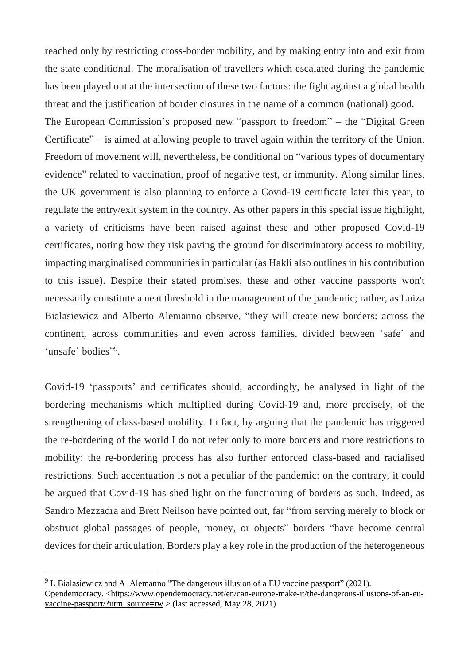reached only by restricting cross-border mobility, and by making entry into and exit from the state conditional. The moralisation of travellers which escalated during the pandemic has been played out at the intersection of these two factors: the fight against a global health threat and the justification of border closures in the name of a common (national) good. The European Commission's proposed new "passport to freedom" – the "Digital Green Certificate" – is aimed at allowing people to travel again within the territory of the Union. Freedom of movement will, nevertheless, be conditional on "various types of documentary evidence" related to vaccination, proof of negative test, or immunity. Along similar lines, the UK government is also planning to enforce a Covid-19 certificate later this year, to regulate the entry/exit system in the country. As other papers in this special issue highlight, a variety of criticisms have been raised against these and other proposed Covid-19 certificates, noting how they risk paving the ground for discriminatory access to mobility, impacting marginalised communities in particular (as Hakli also outlines in his contribution to this issue). Despite their stated promises, these and other vaccine passports won't necessarily constitute a neat threshold in the management of the pandemic; rather, as Luiza Bialasiewicz and Alberto Alemanno observe, "they will create new borders: across the continent, across communities and even across families, divided between 'safe' and 'unsafe' bodies"9.

Covid-19 'passports' and certificates should, accordingly, be analysed in light of the bordering mechanisms which multiplied during Covid-19 and, more precisely, of the strengthening of class-based mobility. In fact, by arguing that the pandemic has triggered the re-bordering of the world I do not refer only to more borders and more restrictions to mobility: the re-bordering process has also further enforced class-based and racialised restrictions. Such accentuation is not a peculiar of the pandemic: on the contrary, it could be argued that Covid-19 has shed light on the functioning of borders as such. Indeed, as Sandro Mezzadra and Brett Neilson have pointed out, far "from serving merely to block or obstruct global passages of people, money, or objects" borders "have become central devices for their articulation. Borders play a key role in the production of the heterogeneous

 $9$  L Bialasiewicz and A Alemanno "The dangerous illusion of a EU vaccine passport" (2021). Opendemocracy. [<https://www.opendemocracy.net/en/can-europe-make-it/the-dangerous-illusions-of-an-eu](https://www.opendemocracy.net/en/can-europe-make-it/the-dangerous-illusions-of-an-eu-vaccine-passport/?utm_source=tw)[vaccine-passport/?utm\\_source=tw](https://www.opendemocracy.net/en/can-europe-make-it/the-dangerous-illusions-of-an-eu-vaccine-passport/?utm_source=tw) > (last accessed, May 28, 2021)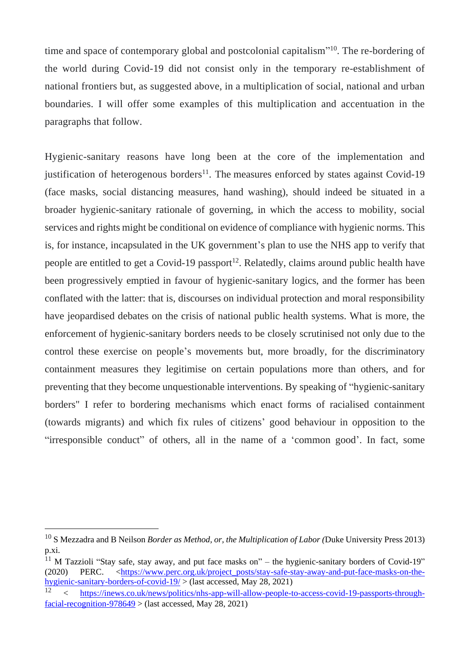time and space of contemporary global and postcolonial capitalism"<sup>10</sup>. The re-bordering of the world during Covid-19 did not consist only in the temporary re-establishment of national frontiers but, as suggested above, in a multiplication of social, national and urban boundaries. I will offer some examples of this multiplication and accentuation in the paragraphs that follow.

Hygienic-sanitary reasons have long been at the core of the implementation and justification of heterogenous borders<sup>11</sup>. The measures enforced by states against Covid-19 (face masks, social distancing measures, hand washing), should indeed be situated in a broader hygienic-sanitary rationale of governing, in which the access to mobility, social services and rights might be conditional on evidence of compliance with hygienic norms. This is, for instance, incapsulated in the UK government's plan to use the NHS app to verify that people are entitled to get a Covid-19 passport<sup>12</sup>. Relatedly, claims around public health have been progressively emptied in favour of hygienic-sanitary logics, and the former has been conflated with the latter: that is, discourses on individual protection and moral responsibility have jeopardised debates on the crisis of national public health systems. What is more, the enforcement of hygienic-sanitary borders needs to be closely scrutinised not only due to the control these exercise on people's movements but, more broadly, for the discriminatory containment measures they legitimise on certain populations more than others, and for preventing that they become unquestionable interventions. By speaking of "hygienic-sanitary borders" I refer to bordering mechanisms which enact forms of racialised containment (towards migrants) and which fix rules of citizens' good behaviour in opposition to the "irresponsible conduct" of others, all in the name of a 'common good'. In fact, some

<sup>10</sup> S Mezzadra and B Neilson *Border as Method, or, the Multiplication of Labor (*Duke University Press 2013) p.xi.

<sup>&</sup>lt;sup>11</sup> M Tazzioli "Stay safe, stay away, and put face masks on" – the hygienic-sanitary borders of Covid-19" (2020) PERC. [<https://www.perc.org.uk/project\\_posts/stay-safe-stay-away-and-put-face-masks-on-the](https://www.perc.org.uk/project_posts/stay-safe-stay-away-and-put-face-masks-on-the-hygienic-sanitary-borders-of-covid-19/)[hygienic-sanitary-borders-of-covid-19/](https://www.perc.org.uk/project_posts/stay-safe-stay-away-and-put-face-masks-on-the-hygienic-sanitary-borders-of-covid-19/) > (last accessed, May 28, 2021)

<sup>&</sup>lt;sup>12</sup> < [https://inews.co.uk/news/politics/nhs-app-will-allow-people-to-access-covid-19-passports-through](https://inews.co.uk/news/politics/nhs-app-will-allow-people-to-access-covid-19-passports-through-facial-recognition-978649)[facial-recognition-978649](https://inews.co.uk/news/politics/nhs-app-will-allow-people-to-access-covid-19-passports-through-facial-recognition-978649)  $>$  (last accessed, May 28, 2021)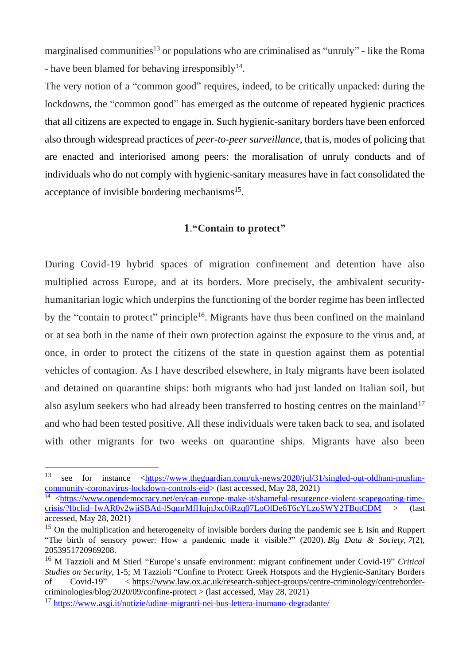marginalised communities<sup>13</sup> or populations who are criminalised as "unruly" - like the Roma - have been blamed for behaving irresponsibly<sup>14</sup>.

The very notion of a "common good" requires, indeed, to be critically unpacked: during the lockdowns, the "common good" has emerged as the outcome of repeated hygienic practices that all citizens are expected to engage in. Such hygienic-sanitary borders have been enforced also through widespread practices of *peer-to-peer surveillance*, that is, modes of policing that are enacted and interiorised among peers: the moralisation of unruly conducts and of individuals who do not comply with hygienic-sanitary measures have in fact consolidated the acceptance of invisible bordering mechanisms<sup>15</sup>.

#### **1**.**"Contain to protect"**

During Covid-19 hybrid spaces of migration confinement and detention have also multiplied across Europe, and at its borders. More precisely, the ambivalent securityhumanitarian logic which underpins the functioning of the border regime has been inflected by the "contain to protect" principle<sup>16</sup>. Migrants have thus been confined on the mainland or at sea both in the name of their own protection against the exposure to the virus and, at once, in order to protect the citizens of the state in question against them as potential vehicles of contagion. As I have described elsewhere, in Italy migrants have been isolated and detained on quarantine ships: both migrants who had just landed on Italian soil, but also asylum seekers who had already been transferred to hosting centres on the mainland<sup>17</sup> and who had been tested positive. All these individuals were taken back to sea, and isolated with other migrants for two weeks on quarantine ships. Migrants have also been

<sup>13</sup> see for instance [<https://www.theguardian.com/uk-news/2020/jul/31/singled-out-oldham-muslim](https://www.theguardian.com/uk-news/2020/jul/31/singled-out-oldham-muslim-community-coronavirus-lockdown-controls-eid)[community-coronavirus-lockdown-controls-eid>](https://www.theguardian.com/uk-news/2020/jul/31/singled-out-oldham-muslim-community-coronavirus-lockdown-controls-eid) (last accessed, May 28, 2021)

<sup>14</sup> [<https://www.opendemocracy.net/en/can-europe-make-it/shameful-resurgence-violent-scapegoating-time](https://www.opendemocracy.net/en/can-europe-make-it/shameful-resurgence-violent-scapegoating-time-crisis/?fbclid=IwAR0y2wjiSBAd-lSqmrMfHujnJxc0jRzq07LoOlDe6T6cYLzoSWY2TBqtCDM)[crisis/?fbclid=IwAR0y2wjiSBAd-lSqmrMfHujnJxc0jRzq07LoOlDe6T6cYLzoSWY2TBqtCDM](https://www.opendemocracy.net/en/can-europe-make-it/shameful-resurgence-violent-scapegoating-time-crisis/?fbclid=IwAR0y2wjiSBAd-lSqmrMfHujnJxc0jRzq07LoOlDe6T6cYLzoSWY2TBqtCDM) > (last accessed, May 28, 2021)

<sup>&</sup>lt;sup>15</sup> On the multiplication and heterogeneity of invisible borders during the pandemic see E Isin and Ruppert "The birth of sensory power: How a pandemic made it visible?" (2020). *Big Data & Society*, *7*(2), 2053951720969208.

<sup>16</sup> M Tazzioli and M Stierl "Europe's unsafe environment: migrant confinement under Covid-19" *Critical Studies on Security*, 1-5; M Tazzioli "Confine to Protect: Greek Hotspots and the Hygienic-Sanitary Borders of Covid-19" < [https://www.law.ox.ac.uk/research-subject-groups/centre-criminology/centreborder](https://www.law.ox.ac.uk/research-subject-groups/centre-criminology/centreborder-criminologies/blog/2020/09/confine-protect)[criminologies/blog/2020/09/confine-protect](https://www.law.ox.ac.uk/research-subject-groups/centre-criminology/centreborder-criminologies/blog/2020/09/confine-protect)  $>$  (last accessed, May 28, 2021)

<sup>17</sup> <https://www.asgi.it/notizie/udine-migranti-nei-bus-lettera-inumano-degradante/>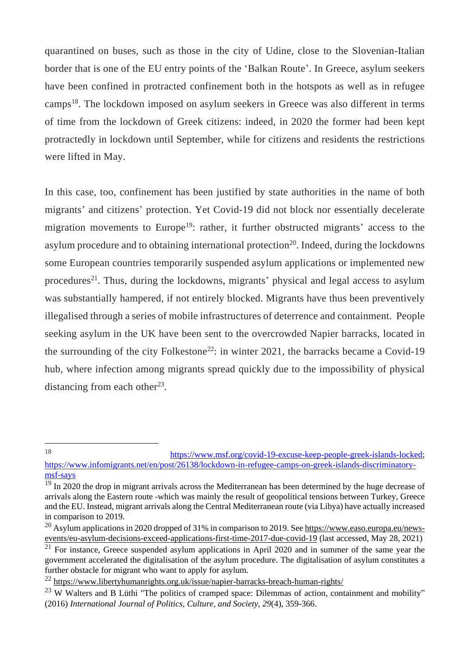quarantined on buses, such as those in the city of Udine, close to the Slovenian-Italian border that is one of the EU entry points of the 'Balkan Route'. In Greece, asylum seekers have been confined in protracted confinement both in the hotspots as well as in refugee camps<sup>18</sup>. The lockdown imposed on asylum seekers in Greece was also different in terms of time from the lockdown of Greek citizens: indeed, in 2020 the former had been kept protractedly in lockdown until September, while for citizens and residents the restrictions were lifted in May.

In this case, too, confinement has been justified by state authorities in the name of both migrants' and citizens' protection. Yet Covid-19 did not block nor essentially decelerate migration movements to Europe<sup>19</sup>: rather, it further obstructed migrants' access to the asylum procedure and to obtaining international protection<sup>20</sup>. Indeed, during the lockdowns some European countries temporarily suspended asylum applications or implemented new procedures<sup>21</sup>. Thus, during the lockdowns, migrants' physical and legal access to asylum was substantially hampered, if not entirely blocked. Migrants have thus been preventively illegalised through a series of mobile infrastructures of deterrence and containment. People seeking asylum in the UK have been sent to the overcrowded Napier barracks, located in the surrounding of the city Folkestone<sup>22</sup>: in winter 2021, the barracks became a Covid-19 hub, where infection among migrants spread quickly due to the impossibility of physical distancing from each other<sup>23</sup>.

<sup>&</sup>lt;u>.</u>

<sup>18</sup> [https://www.msf.org/covid-19-excuse-keep-people-greek-islands-locked;](https://www.msf.org/covid-19-excuse-keep-people-greek-islands-locked) [https://www.infomigrants.net/en/post/26138/lockdown-in-refugee-camps-on-greek-islands-discriminatory](https://www.infomigrants.net/en/post/26138/lockdown-in-refugee-camps-on-greek-islands-discriminatory-msf-says)[msf-says](https://www.infomigrants.net/en/post/26138/lockdown-in-refugee-camps-on-greek-islands-discriminatory-msf-says)

<sup>&</sup>lt;sup>19</sup> In 2020 the drop in migrant arrivals across the Mediterranean has been determined by the huge decrease of arrivals along the Eastern route -which was mainly the result of geopolitical tensions between Turkey, Greece and the EU. Instead, migrant arrivals along the Central Mediterranean route (via Libya) have actually increased in comparison to 2019.

<sup>&</sup>lt;sup>20</sup> Asylum applications in 2020 dropped of 31% in comparison to 2019. See [https://www.easo.europa.eu/news](https://www.easo.europa.eu/news-events/eu-asylum-decisions-exceed-applications-first-time-2017-due-covid-19)[events/eu-asylum-decisions-exceed-applications-first-time-2017-due-covid-19](https://www.easo.europa.eu/news-events/eu-asylum-decisions-exceed-applications-first-time-2017-due-covid-19) (last accessed, May 28, 2021)

<sup>&</sup>lt;sup>21</sup> For instance, Greece suspended asylum applications in April 2020 and in summer of the same year the government accelerated the digitalisation of the asylum procedure. The digitalisation of asylum constitutes a further obstacle for migrant who want to apply for asylum.

<sup>22</sup> <https://www.libertyhumanrights.org.uk/issue/napier-barracks-breach-human-rights/>

 $^{23}$  W Walters and B Lüthi "The politics of cramped space: Dilemmas of action, containment and mobility" (2016) *International Journal of Politics, Culture, and Society*, *29*(4), 359-366.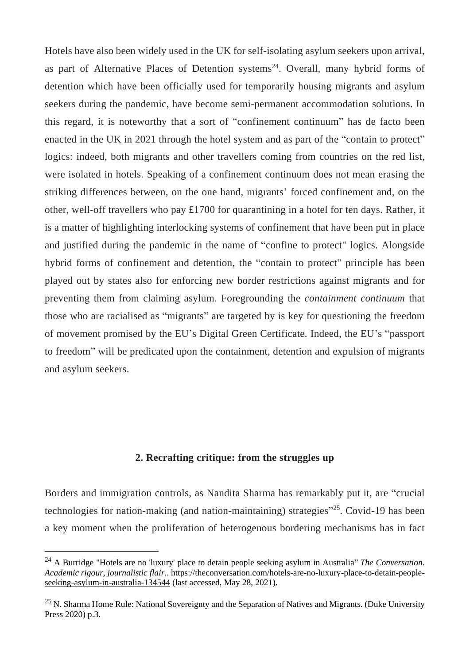Hotels have also been widely used in the UK for self-isolating asylum seekers upon arrival, as part of Alternative Places of Detention systems<sup>24</sup>. Overall, many hybrid forms of detention which have been officially used for temporarily housing migrants and asylum seekers during the pandemic, have become semi-permanent accommodation solutions. In this regard, it is noteworthy that a sort of "confinement continuum" has de facto been enacted in the UK in 2021 through the hotel system and as part of the "contain to protect" logics: indeed, both migrants and other travellers coming from countries on the red list, were isolated in hotels. Speaking of a confinement continuum does not mean erasing the striking differences between, on the one hand, migrants' forced confinement and, on the other, well-off travellers who pay £1700 for quarantining in a hotel for ten days. Rather, it is a matter of highlighting interlocking systems of confinement that have been put in place and justified during the pandemic in the name of "confine to protect" logics. Alongside hybrid forms of confinement and detention, the "contain to protect" principle has been played out by states also for enforcing new border restrictions against migrants and for preventing them from claiming asylum. Foregrounding the *containment continuum* that those who are racialised as "migrants" are targeted by is key for questioning the freedom of movement promised by the EU's Digital Green Certificate. Indeed, the EU's "passport to freedom" will be predicated upon the containment, detention and expulsion of migrants and asylum seekers.

## **2. Recrafting critique: from the struggles up**

Borders and immigration controls, as Nandita Sharma has remarkably put it, are "crucial technologies for nation-making (and nation-maintaining) strategies"<sup>25</sup>. Covid-19 has been a key moment when the proliferation of heterogenous bordering mechanisms has in fact

<u>.</u>

<sup>24</sup> A Burridge "Hotels are no 'luxury' place to detain people seeking asylum in Australia" *The Conversation. Academic rigour, journalistic flair.*. [https://theconversation.com/hotels-are-no-luxury-place-to-detain-people](https://theconversation.com/hotels-are-no-luxury-place-to-detain-people-seeking-asylum-in-australia-134544)[seeking-asylum-in-australia-134544](https://theconversation.com/hotels-are-no-luxury-place-to-detain-people-seeking-asylum-in-australia-134544) (last accessed, May 28, 2021).

 $25$  N. Sharma Home Rule: National Sovereignty and the Separation of Natives and Migrants. (Duke University Press 2020) p.3.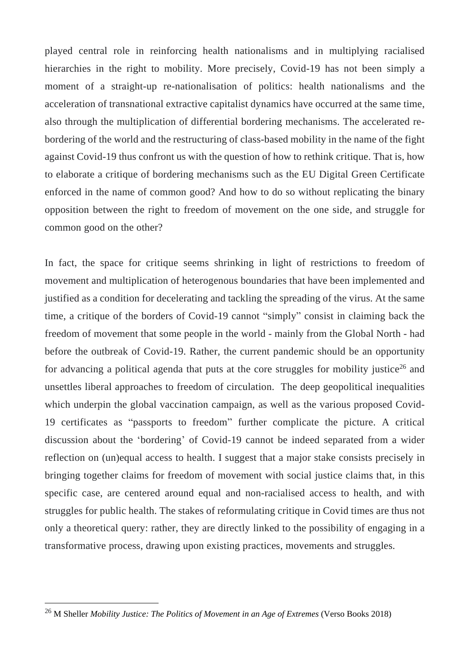played central role in reinforcing health nationalisms and in multiplying racialised hierarchies in the right to mobility. More precisely, Covid-19 has not been simply a moment of a straight-up re-nationalisation of politics: health nationalisms and the acceleration of transnational extractive capitalist dynamics have occurred at the same time, also through the multiplication of differential bordering mechanisms. The accelerated rebordering of the world and the restructuring of class-based mobility in the name of the fight against Covid-19 thus confront us with the question of how to rethink critique. That is, how to elaborate a critique of bordering mechanisms such as the EU Digital Green Certificate enforced in the name of common good? And how to do so without replicating the binary opposition between the right to freedom of movement on the one side, and struggle for common good on the other?

In fact, the space for critique seems shrinking in light of restrictions to freedom of movement and multiplication of heterogenous boundaries that have been implemented and justified as a condition for decelerating and tackling the spreading of the virus. At the same time, a critique of the borders of Covid-19 cannot "simply" consist in claiming back the freedom of movement that some people in the world - mainly from the Global North - had before the outbreak of Covid-19. Rather, the current pandemic should be an opportunity for advancing a political agenda that puts at the core struggles for mobility justice<sup>26</sup> and unsettles liberal approaches to freedom of circulation. The deep geopolitical inequalities which underpin the global vaccination campaign, as well as the various proposed Covid-19 certificates as "passports to freedom" further complicate the picture. A critical discussion about the 'bordering' of Covid-19 cannot be indeed separated from a wider reflection on (un)equal access to health. I suggest that a major stake consists precisely in bringing together claims for freedom of movement with social justice claims that, in this specific case, are centered around equal and non-racialised access to health, and with struggles for public health. The stakes of reformulating critique in Covid times are thus not only a theoretical query: rather, they are directly linked to the possibility of engaging in a transformative process, drawing upon existing practices, movements and struggles.

<sup>26</sup> M Sheller *Mobility Justice: The Politics of Movement in an Age of Extremes* (Verso Books 2018)